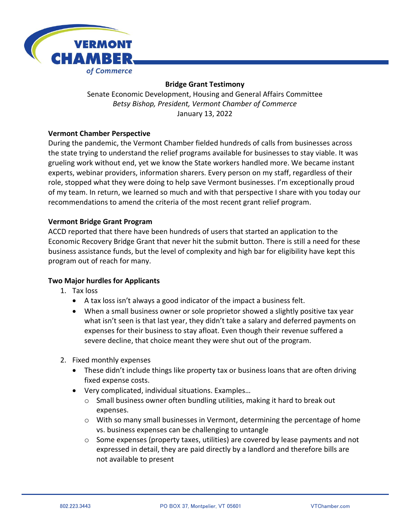

# **Bridge Grant Testimony**

Senate Economic Development, Housing and General Affairs Committee *Betsy Bishop, President, Vermont Chamber of Commerce* January 13, 2022

### **Vermont Chamber Perspective**

During the pandemic, the Vermont Chamber fielded hundreds of calls from businesses across the state trying to understand the relief programs available for businesses to stay viable. It was grueling work without end, yet we know the State workers handled more. We became instant experts, webinar providers, information sharers. Every person on my staff, regardless of their role, stopped what they were doing to help save Vermont businesses. I'm exceptionally proud of my team. In return, we learned so much and with that perspective I share with you today our recommendations to amend the criteria of the most recent grant relief program.

### **Vermont Bridge Grant Program**

ACCD reported that there have been hundreds of users that started an application to the Economic Recovery Bridge Grant that never hit the submit button. There is still a need for these business assistance funds, but the level of complexity and high bar for eligibility have kept this program out of reach for many.

# **Two Major hurdles for Applicants**

- 1. Tax loss
	- A tax loss isn't always a good indicator of the impact a business felt.
	- When a small business owner or sole proprietor showed a slightly positive tax year what isn't seen is that last year, they didn't take a salary and deferred payments on expenses for their business to stay afloat. Even though their revenue suffered a severe decline, that choice meant they were shut out of the program.
- 2. Fixed monthly expenses
	- These didn't include things like property tax or business loans that are often driving fixed expense costs.
	- Very complicated, individual situations. Examples…
		- $\circ$  Small business owner often bundling utilities, making it hard to break out expenses.
		- o With so many small businesses in Vermont, determining the percentage of home vs. business expenses can be challenging to untangle
		- $\circ$  Some expenses (property taxes, utilities) are covered by lease payments and not expressed in detail, they are paid directly by a landlord and therefore bills are not available to present